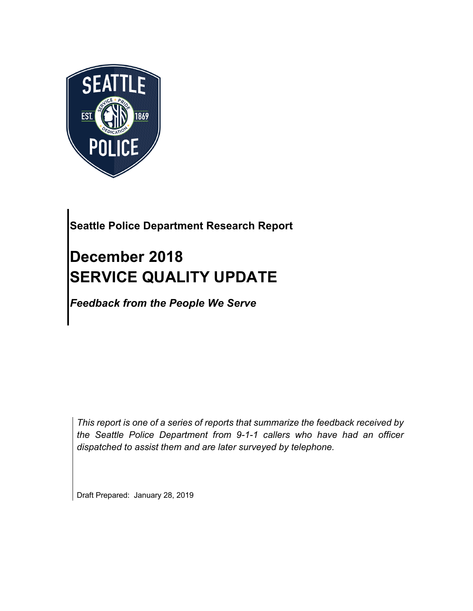

## **Seattle Police Department Research Report**

# **December 2018 SERVICE QUALITY UPDATE**

*Feedback from the People We Serve*

*This report is one of a series of reports that summarize the feedback received by the Seattle Police Department from 9-1-1 callers who have had an officer dispatched to assist them and are later surveyed by telephone.*

Draft Prepared: January 28, 2019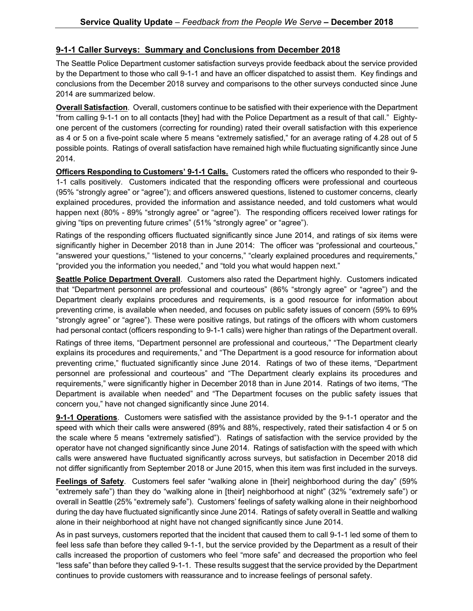#### **9-1-1 Caller Surveys: Summary and Conclusions from December 2018**

The Seattle Police Department customer satisfaction surveys provide feedback about the service provided by the Department to those who call 9-1-1 and have an officer dispatched to assist them. Key findings and conclusions from the December 2018 survey and comparisons to the other surveys conducted since June 2014 are summarized below.

**Overall Satisfaction**. Overall, customers continue to be satisfied with their experience with the Department "from calling 9-1-1 on to all contacts [they] had with the Police Department as a result of that call." Eightyone percent of the customers (correcting for rounding) rated their overall satisfaction with this experience as 4 or 5 on a five-point scale where 5 means "extremely satisfied," for an average rating of 4.28 out of 5 possible points. Ratings of overall satisfaction have remained high while fluctuating significantly since June 2014.

**Officers Responding to Customers' 9-1-1 Calls.** Customers rated the officers who responded to their 9- 1-1 calls positively. Customers indicated that the responding officers were professional and courteous (95% "strongly agree" or "agree"); and officers answered questions, listened to customer concerns, clearly explained procedures, provided the information and assistance needed, and told customers what would happen next (80% - 89% "strongly agree" or "agree"). The responding officers received lower ratings for giving "tips on preventing future crimes" (51% "strongly agree" or "agree").

Ratings of the responding officers fluctuated significantly since June 2014, and ratings of six items were significantly higher in December 2018 than in June 2014: The officer was "professional and courteous," "answered your questions," "listened to your concerns," "clearly explained procedures and requirements," "provided you the information you needed," and "told you what would happen next."

**Seattle Police Department Overall**. Customers also rated the Department highly. Customers indicated that "Department personnel are professional and courteous" (86% "strongly agree" or "agree") and the Department clearly explains procedures and requirements, is a good resource for information about preventing crime, is available when needed, and focuses on public safety issues of concern (59% to 69% "strongly agree" or "agree"). These were positive ratings, but ratings of the officers with whom customers had personal contact (officers responding to 9-1-1 calls) were higher than ratings of the Department overall.

Ratings of three items, "Department personnel are professional and courteous," "The Department clearly explains its procedures and requirements," and "The Department is a good resource for information about preventing crime," fluctuated significantly since June 2014. Ratings of two of these items, "Department personnel are professional and courteous" and "The Department clearly explains its procedures and requirements," were significantly higher in December 2018 than in June 2014. Ratings of two items, "The Department is available when needed" and "The Department focuses on the public safety issues that concern you," have not changed significantly since June 2014.

**9-1-1 Operations**. Customers were satisfied with the assistance provided by the 9-1-1 operator and the speed with which their calls were answered (89% and 88%, respectively, rated their satisfaction 4 or 5 on the scale where 5 means "extremely satisfied"). Ratings of satisfaction with the service provided by the operator have not changed significantly since June 2014. Ratings of satisfaction with the speed with which calls were answered have fluctuated significantly across surveys, but satisfaction in December 2018 did not differ significantly from September 2018 or June 2015, when this item was first included in the surveys.

**Feelings of Safety**. Customers feel safer "walking alone in [their] neighborhood during the day" (59% "extremely safe") than they do "walking alone in [their] neighborhood at night" (32% "extremely safe") or overall in Seattle (25% "extremely safe"). Customers' feelings of safety walking alone in their neighborhood during the day have fluctuated significantly since June 2014. Ratings of safety overall in Seattle and walking alone in their neighborhood at night have not changed significantly since June 2014.

As in past surveys, customers reported that the incident that caused them to call 9-1-1 led some of them to feel less safe than before they called 9-1-1, but the service provided by the Department as a result of their calls increased the proportion of customers who feel "more safe" and decreased the proportion who feel "less safe" than before they called 9-1-1. These results suggest that the service provided by the Department continues to provide customers with reassurance and to increase feelings of personal safety.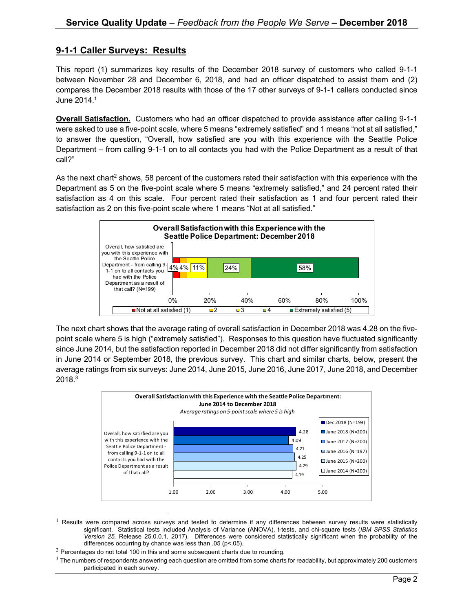#### **9-1-1 Caller Surveys: Results**

This report (1) summarizes key results of the December 2018 survey of customers who called 9-1-1 between November 28 and December 6, 2018, and had an officer dispatched to assist them and (2) compares the December 2018 results with those of the 17 other surveys of 9-1-1 callers conducted since June 2014.1

**Overall Satisfaction.** Customers who had an officer dispatched to provide assistance after calling 9-1-1 were asked to use a five-point scale, where 5 means "extremely satisfied" and 1 means "not at all satisfied," to answer the question, "Overall, how satisfied are you with this experience with the Seattle Police Department – from calling 9-1-1 on to all contacts you had with the Police Department as a result of that call?"

As the next chart<sup>2</sup> shows, 58 percent of the customers rated their satisfaction with this experience with the Department as 5 on the five-point scale where 5 means "extremely satisfied," and 24 percent rated their satisfaction as 4 on this scale. Four percent rated their satisfaction as 1 and four percent rated their satisfaction as 2 on this five-point scale where 1 means "Not at all satisfied."



The next chart shows that the average rating of overall satisfaction in December 2018 was 4.28 on the fivepoint scale where 5 is high ("extremely satisfied"). Responses to this question have fluctuated significantly since June 2014, but the satisfaction reported in December 2018 did not differ significantly from satisfaction in June 2014 or September 2018, the previous survey. This chart and similar charts, below, present the average ratings from six surveys: June 2014, June 2015, June 2016, June 2017, June 2018, and December  $2018.<sup>3</sup>$ 



 $1$  Results were compared across surveys and tested to determine if any differences between survey results were statistically significant. Statistical tests included Analysis of Variance (ANOVA), t-tests, and chi-square tests (*IBM SPSS Statistics Version 25,* Release 25.0.0.1, 2017). Differences were considered statistically significant when the probability of the differences occurring by chance was less than .05 ( $p$ <.05).

 $2$  Percentages do not total 100 in this and some subsequent charts due to rounding.

 $3$  The numbers of respondents answering each question are omitted from some charts for readability, but approximately 200 customers participated in each survey.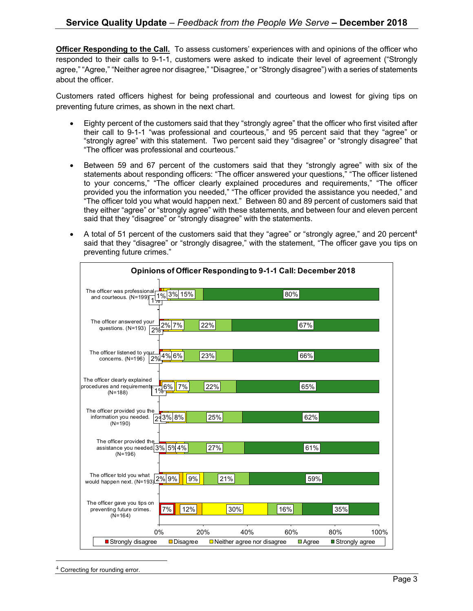**Officer Responding to the Call.** To assess customers' experiences with and opinions of the officer who responded to their calls to 9-1-1, customers were asked to indicate their level of agreement ("Strongly agree," "Agree," "Neither agree nor disagree," "Disagree," or "Strongly disagree") with a series of statements about the officer.

Customers rated officers highest for being professional and courteous and lowest for giving tips on preventing future crimes, as shown in the next chart.

- Eighty percent of the customers said that they "strongly agree" that the officer who first visited after their call to 9-1-1 "was professional and courteous," and 95 percent said that they "agree" or "strongly agree" with this statement. Two percent said they "disagree" or "strongly disagree" that "The officer was professional and courteous."
- Between 59 and 67 percent of the customers said that they "strongly agree" with six of the statements about responding officers: "The officer answered your questions," "The officer listened to your concerns," "The officer clearly explained procedures and requirements," "The officer provided you the information you needed," "The officer provided the assistance you needed," and "The officer told you what would happen next." Between 80 and 89 percent of customers said that they either "agree" or "strongly agree" with these statements, and between four and eleven percent said that they "disagree" or "strongly disagree" with the statements.
- A total of 51 percent of the customers said that they "agree" or "strongly agree," and 20 percent<sup>4</sup> said that they "disagree" or "strongly disagree," with the statement, "The officer gave you tips on preventing future crimes."

| Opinions of Officer Responding to 9-1-1 Call: December 2018                            |                 |     |                                   |                      |                  |      |
|----------------------------------------------------------------------------------------|-----------------|-----|-----------------------------------|----------------------|------------------|------|
| The officer was professionalf<br>and courteous. (N=199)                                | 1% 3% 15%       |     | 80%                               |                      |                  |      |
| The officer answered your<br>questions. (N=193)<br>2%                                  | $2\%$ 7%        | 22% |                                   | 67%                  |                  |      |
| The officer listened to your<br>concerns. (N=196) 2%                                   | 4% 6%           | 23% |                                   | 66%                  |                  |      |
| The officer clearly explained<br>procedures and requirements.<br>$(N=188)$             | 6%<br>7%        | 22% |                                   | 65%                  |                  |      |
| The officer provided you the<br>information you needed. $\sqrt{29}3\%$ 8%<br>$(N=190)$ |                 | 25% |                                   | 62%                  |                  |      |
| The officer provided the<br>assistance you needed 3% 5% 4%<br>$(N=196)$                |                 | 27% |                                   | 61%                  |                  |      |
| The officer told you what<br>would happen next. $(N=193)2\frac{2\%9\%}{9\%}$           | 9%              | 21% |                                   | 59%                  |                  |      |
| The officer gave you tips on<br>preventing future crimes.<br>$(N=164)$                 | 7%<br>12%       | 30% | 16%                               |                      | 35%              |      |
| 0%                                                                                     |                 | 20% | 60%<br>40%                        |                      | 80%              | 100% |
| ■ Strongly disagree                                                                    | <b>Disagree</b> |     | $\Box$ Neither agree nor disagree | $\blacksquare$ Agree | ■ Strongly agree |      |

<sup>&</sup>lt;sup>4</sup> Correcting for rounding error.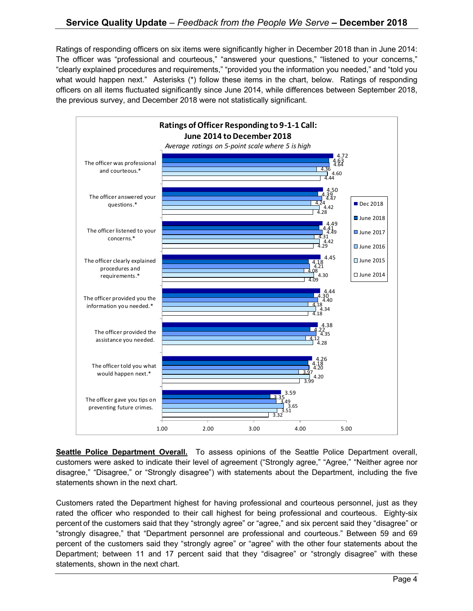Ratings of responding officers on six items were significantly higher in December 2018 than in June 2014: The officer was "professional and courteous," "answered your questions," "listened to your concerns," "clearly explained procedures and requirements," "provided you the information you needed," and "told you what would happen next." Asterisks (\*) follow these items in the chart, below. Ratings of responding officers on all items fluctuated significantly since June 2014, while differences between September 2018, the previous survey, and December 2018 were not statistically significant.



**Seattle Police Department Overall.** To assess opinions of the Seattle Police Department overall, customers were asked to indicate their level of agreement ("Strongly agree," "Agree," "Neither agree nor disagree," "Disagree," or "Strongly disagree") with statements about the Department, including the five statements shown in the next chart.

Customers rated the Department highest for having professional and courteous personnel, just as they rated the officer who responded to their call highest for being professional and courteous. Eighty-six percent of the customers said that they "strongly agree" or "agree," and six percent said they "disagree" or "strongly disagree," that "Department personnel are professional and courteous." Between 59 and 69 percent of the customers said they "strongly agree" or "agree" with the other four statements about the Department; between 11 and 17 percent said that they "disagree" or "strongly disagree" with these statements, shown in the next chart.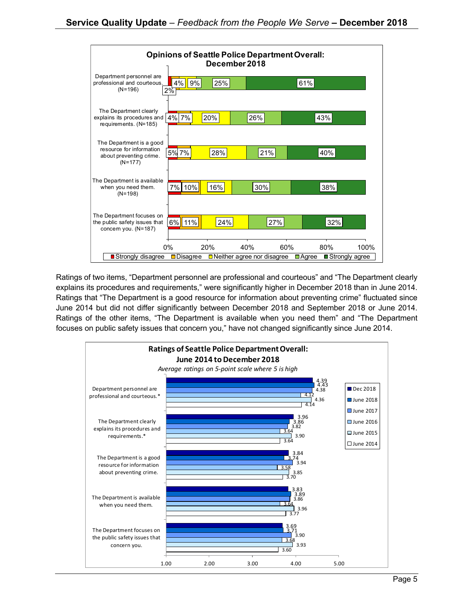

Ratings of two items, "Department personnel are professional and courteous" and "The Department clearly explains its procedures and requirements," were significantly higher in December 2018 than in June 2014. Ratings that "The Department is a good resource for information about preventing crime" fluctuated since June 2014 but did not differ significantly between December 2018 and September 2018 or June 2014. Ratings of the other items, "The Department is available when you need them" and "The Department focuses on public safety issues that concern you," have not changed significantly since June 2014.

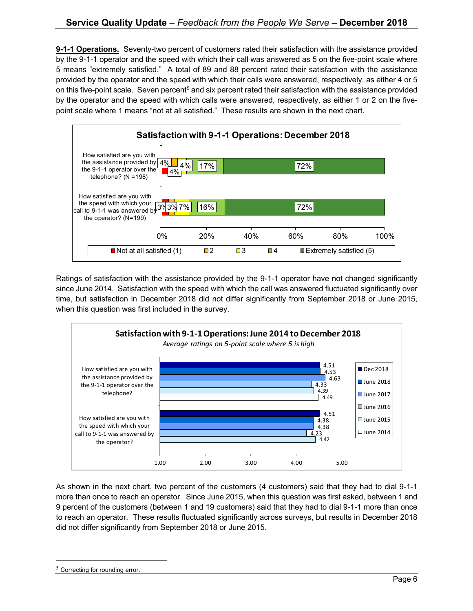**9-1-1 Operations.** Seventy-two percent of customers rated their satisfaction with the assistance provided by the 9-1-1 operator and the speed with which their call was answered as 5 on the five-point scale where 5 means "extremely satisfied." A total of 89 and 88 percent rated their satisfaction with the assistance provided by the operator and the speed with which their calls were answered, respectively, as either 4 or 5 on this five-point scale. Seven percent<sup>5</sup> and six percent rated their satisfaction with the assistance provided by the operator and the speed with which calls were answered, respectively, as either 1 or 2 on the fivepoint scale where 1 means "not at all satisfied." These results are shown in the next chart.



Ratings of satisfaction with the assistance provided by the 9-1-1 operator have not changed significantly since June 2014. Satisfaction with the speed with which the call was answered fluctuated significantly over time, but satisfaction in December 2018 did not differ significantly from September 2018 or June 2015, when this question was first included in the survey.



As shown in the next chart, two percent of the customers (4 customers) said that they had to dial 9-1-1 more than once to reach an operator. Since June 2015, when this question was first asked, between 1 and 9 percent of the customers (between 1 and 19 customers) said that they had to dial 9-1-1 more than once to reach an operator. These results fluctuated significantly across surveys, but results in December 2018 did not differ significantly from September 2018 or June 2015.

<sup>&</sup>lt;sup>5</sup> Correcting for rounding error.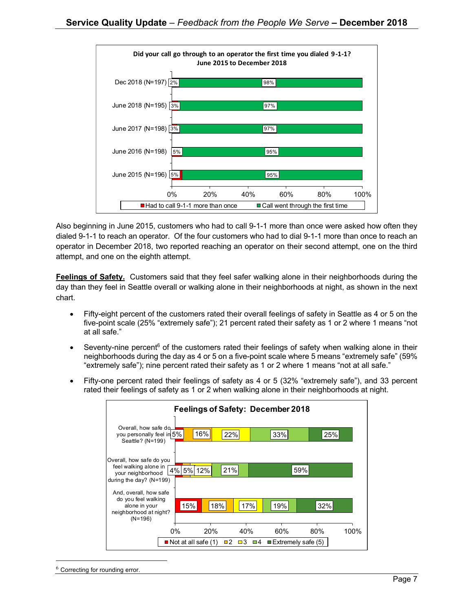

Also beginning in June 2015, customers who had to call 9-1-1 more than once were asked how often they dialed 9-1-1 to reach an operator. Of the four customers who had to dial 9-1-1 more than once to reach an operator in December 2018, two reported reaching an operator on their second attempt, one on the third attempt, and one on the eighth attempt.

**Feelings of Safety.** Customers said that they feel safer walking alone in their neighborhoods during the day than they feel in Seattle overall or walking alone in their neighborhoods at night, as shown in the next chart.

- Fifty-eight percent of the customers rated their overall feelings of safety in Seattle as 4 or 5 on the five-point scale (25% "extremely safe"); 21 percent rated their safety as 1 or 2 where 1 means "not at all safe."
- Seventy-nine percent $6$  of the customers rated their feelings of safety when walking alone in their neighborhoods during the day as 4 or 5 on a five-point scale where 5 means "extremely safe" (59% "extremely safe"); nine percent rated their safety as 1 or 2 where 1 means "not at all safe."
- Fifty-one percent rated their feelings of safety as 4 or 5 (32% "extremely safe"), and 33 percent rated their feelings of safety as 1 or 2 when walking alone in their neighborhoods at night.

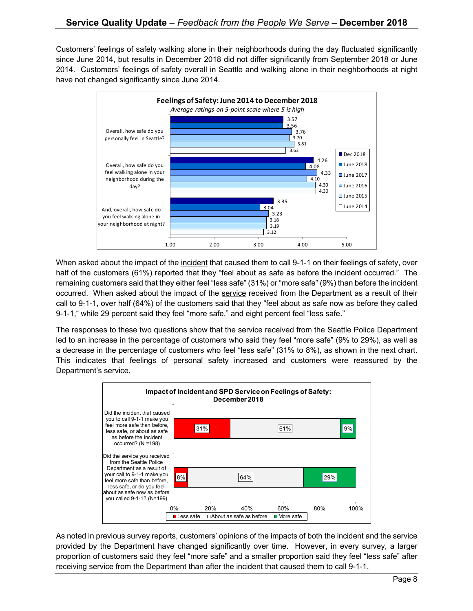Customers' feelings of safety walking alone in their neighborhoods during the day fluctuated significantly since June 2014, but results in December 2018 did not differ significantly from September 2018 or June 2014. Customers' feelings of safety overall in Seattle and walking alone in their neighborhoods at night have not changed significantly since June 2014.



When asked about the impact of the incident that caused them to call 9-1-1 on their feelings of safety, over half of the customers (61%) reported that they "feel about as safe as before the incident occurred." The remaining customers said that they either feel "less safe" (31%) or "more safe" (9%) than before the incident occurred. When asked about the impact of the service received from the Department as a result of their call to 9-1-1, over half (64%) of the customers said that they "feel about as safe now as before they called 9-1-1," while 29 percent said they feel "more safe," and eight percent feel "less safe."

The responses to these two questions show that the service received from the Seattle Police Department led to an increase in the percentage of customers who said they feel "more safe" (9% to 29%), as well as a decrease in the percentage of customers who feel "less safe" (31% to 8%), as shown in the next chart. This indicates that feelings of personal safety increased and customers were reassured by the Department's service.



As noted in previous survey reports, customers' opinions of the impacts of both the incident and the service provided by the Department have changed significantly over time. However, in every survey, a larger proportion of customers said they feel "more safe" and a smaller proportion said they feel "less safe" after receiving service from the Department than after the incident that caused them to call 9-1-1.